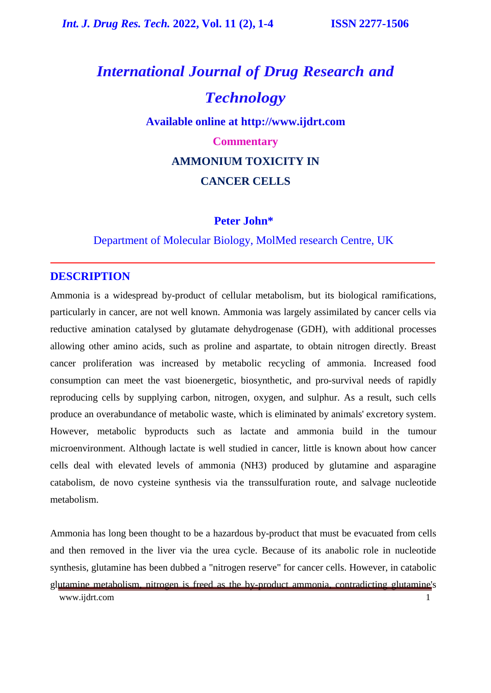# *International Journal of Drug Research and Technology* **Available online at [http://www.ijdrt.com](http://www.ijdrt.com/) Commentary AMMONIUM TOXICITY IN CANCER CELLS**

### **Peter John\***

### Department of Molecular Biology, MolMed research Centre, UK

### **DESCRIPTION**

Ammonia is a widespread by-product of cellular metabolism, but its biological ramifications, particularly in cancer, are not well known. Ammonia was largely assimilated by cancer cells via reductive amination catalysed by glutamate dehydrogenase (GDH), with additional processes allowing other amino acids, such as proline and aspartate, to obtain nitrogen directly. Breast cancer proliferation was increased by metabolic recycling of ammonia. Increased food consumption can meet the vast bioenergetic, biosynthetic, and pro-survival needs of rapidly reproducing cells by supplying carbon, nitrogen, oxygen, and sulphur. As a result, such cells produce an overabundance of metabolic waste, which is eliminated by animals' excretory system. However, metabolic byproducts such as lactate and ammonia build in the tumour microenvironment. Although lactate is well studied in cancer, little is known about how cancer cells deal with elevated levels of ammonia (NH3) produced by glutamine and asparagine catabolism, de novo cysteine synthesis via the transsulfuration route, and salvage nucleotide metabolism.

Ammonia has long been thought to be a hazardous by-product that must be evacuated from cells and then removed in the liver via the urea cycle. Because of its anabolic role in nucleotide synthesis, glutamine has been dubbed a "nitrogen reserve" for cancer cells. However, in catabolic glutamine metabolism, nitrogen is freed as the by-product ammonia, contradicting glutamine's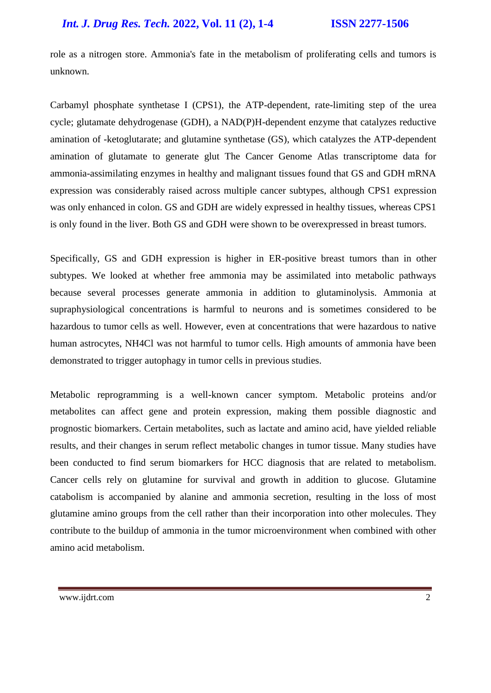### *Int. J. Drug Res. Tech.* **2022, Vol. 11 (2), 1-4 ISSN 2277-1506**

role as a nitrogen store. Ammonia's fate in the metabolism of proliferating cells and tumors is unknown.

Carbamyl phosphate synthetase I (CPS1), the ATP-dependent, rate-limiting step of the urea cycle; glutamate dehydrogenase (GDH), a NAD(P)H-dependent enzyme that catalyzes reductive amination of -ketoglutarate; and glutamine synthetase (GS), which catalyzes the ATP-dependent amination of glutamate to generate glut The Cancer Genome Atlas transcriptome data for ammonia-assimilating enzymes in healthy and malignant tissues found that GS and GDH mRNA expression was considerably raised across multiple cancer subtypes, although CPS1 expression was only enhanced in colon. GS and GDH are widely expressed in healthy tissues, whereas CPS1 is only found in the liver. Both GS and GDH were shown to be overexpressed in breast tumors.

Specifically, GS and GDH expression is higher in ER-positive breast tumors than in other subtypes. We looked at whether free ammonia may be assimilated into metabolic pathways because several processes generate ammonia in addition to glutaminolysis. Ammonia at supraphysiological concentrations is harmful to neurons and is sometimes considered to be hazardous to tumor cells as well. However, even at concentrations that were hazardous to native human astrocytes, NH4Cl was not harmful to tumor cells. High amounts of ammonia have been demonstrated to trigger autophagy in tumor cells in previous studies.

Metabolic reprogramming is a well-known cancer symptom. Metabolic proteins and/or metabolites can affect gene and protein expression, making them possible diagnostic and prognostic biomarkers. Certain metabolites, such as lactate and amino acid, have yielded reliable results, and their changes in serum reflect metabolic changes in tumor tissue. Many studies have been conducted to find serum biomarkers for HCC diagnosis that are related to metabolism. Cancer cells rely on glutamine for survival and growth in addition to glucose. Glutamine catabolism is accompanied by alanine and ammonia secretion, resulting in the loss of most glutamine amino groups from the cell rather than their incorporation into other molecules. They contribute to the buildup of ammonia in the tumor microenvironment when combined with other amino acid metabolism.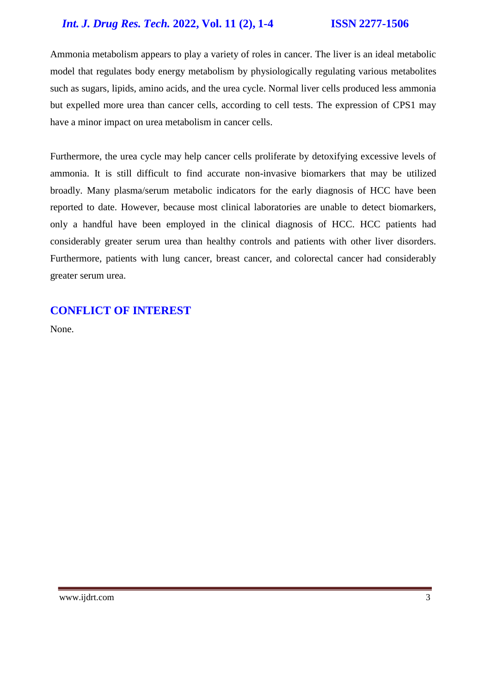### *Int. J. Drug Res. Tech.* **2022, Vol. 11 (2), 1-4 ISSN 2277-1506**

Ammonia metabolism appears to play a variety of roles in cancer. The liver is an ideal metabolic model that regulates body energy metabolism by physiologically regulating various metabolites such as sugars, lipids, amino acids, and the urea cycle. Normal liver cells produced less ammonia but expelled more urea than cancer cells, according to cell tests. The expression of CPS1 may have a minor impact on urea metabolism in cancer cells.

Furthermore, the urea cycle may help cancer cells proliferate by detoxifying excessive levels of ammonia. It is still difficult to find accurate non-invasive biomarkers that may be utilized broadly. Many plasma/serum metabolic indicators for the early diagnosis of HCC have been reported to date. However, because most clinical laboratories are unable to detect biomarkers, only a handful have been employed in the clinical diagnosis of HCC. HCC patients had considerably greater serum urea than healthy controls and patients with other liver disorders. Furthermore, patients with lung cancer, breast cancer, and colorectal cancer had considerably greater serum urea.

### **CONFLICT OF INTEREST**

None.